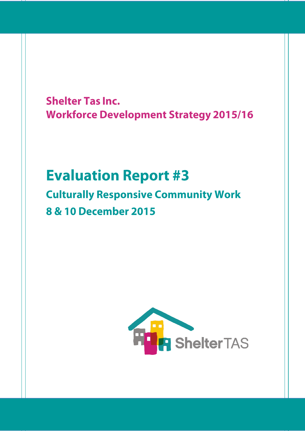**Shelter Tas Inc. Workforce Development Strategy 2015/16** 

# **Evaluation Report #3 Culturally Responsive Community Work 8 & 10 December 2015**

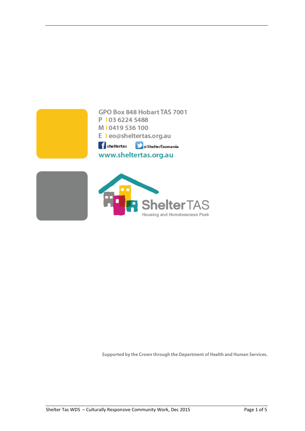

Housing and Homelessness Peak

Supported by the Crown through the Department of Health and Human Services.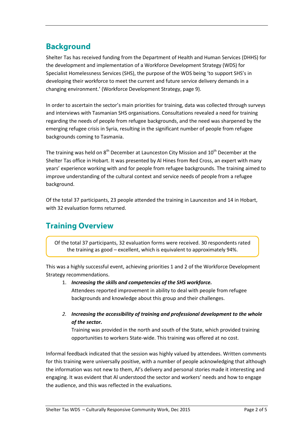## **Background**

Shelter Tas has received funding from the Department of Health and Human Services (DHHS) for the development and implementation of a Workforce Development Strategy (WDS) for Specialist Homelessness Services (SHS), the purpose of the WDS being 'to support SHS's in developing their workforce to meet the current and future service delivery demands in a changing environment.' (Workforce Development Strategy, page 9).

In order to ascertain the sector's main priorities for training, data was collected through surveys and interviews with Tasmanian SHS organisations. Consultations revealed a need for training regarding the needs of people from refugee backgrounds, and the need was sharpened by the emerging refugee crisis in Syria, resulting in the significant number of people from refugee backgrounds coming to Tasmania.

The training was held on  $8<sup>th</sup>$  December at Launceston City Mission and  $10<sup>th</sup>$  December at the Shelter Tas office in Hobart. It was presented by Al Hines from Red Cross, an expert with many years' experience working with and for people from refugee backgrounds. The training aimed to improve understanding of the cultural context and service needs of people from a refugee background.

Of the total 37 participants, 23 people attended the training in Launceston and 14 in Hobart, with 32 evaluation forms returned.

### **Training Overview**

Of the total 37 participants, 32 evaluation forms were received. 30 respondents rated the training as good – excellent, which is equivalent to approximately 94%.

This was a highly successful event, achieving priorities 1 and 2 of the Workforce Development Strategy recommendations.

#### 1. *Increasing the skills and competencies of the SHS workforce.* Attendees reported improvement in ability to deal with people from refugee

backgrounds and knowledge about this group and their challenges.

*2. Increasing the accessibility of training and professional development to the whole of the sector.*

Training was provided in the north and south of the State, which provided training opportunities to workers State-wide. This training was offered at no cost.

Informal feedback indicated that the session was highly valued by attendees. Written comments for this training were universally positive, with a number of people acknowledging that although the information was not new to them, Al's delivery and personal stories made it interesting and engaging. It was evident that Al understood the sector and workers' needs and how to engage the audience, and this was reflected in the evaluations.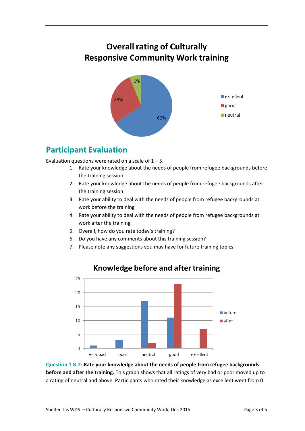## **Overall rating of Culturally Responsive Community Work training**



### **Participant Evaluation**

Evaluation questions were rated on a scale of  $1 - 5$ .

- 1. Rate your knowledge about the needs of people from refugee backgrounds before the training session
- 2. Rate your knowledge about the needs of people from refugee backgrounds after the training session
- 3. Rate your ability to deal with the needs of people from refugee backgrounds at work before the training
- 4. Rate your ability to deal with the needs of people from refugee backgrounds at work after the training
- 5. Overall, how do you rate today's training?
- 6. Do you have any comments about this training session?
- 7. Please note any suggestions you may have for future training topics.



#### Knowledge before and after training

**Question 1 & 2: Rate your knowledge about the needs of people from refugee backgrounds before and after the training.** This graph shows that all ratings of very bad or poor moved up to a rating of neutral and above. Participants who rated their knowledge as excellent went from 0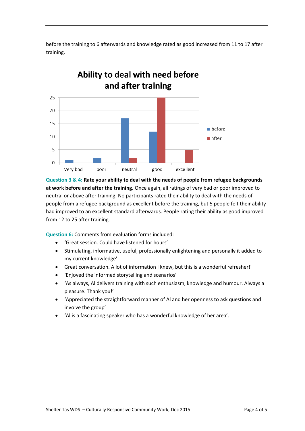before the training to 6 afterwards and knowledge rated as good increased from 11 to 17 after training.



**Question 3 & 4: Rate your ability to deal with the needs of people from refugee backgrounds at work before and after the training.** Once again, all ratings of very bad or poor improved to neutral or above after training. No participants rated their ability to deal with the needs of people from a refugee background as excellent before the training, but 5 people felt their ability had improved to an excellent standard afterwards. People rating their ability as good improved from 12 to 25 after training.

**Question 6:** Comments from evaluation forms included:

- 'Great session. Could have listened for hours'
- Stimulating, informative, useful, professionally enlightening and personally it added to my current knowledge'
- Great conversation. A lot of information I knew, but this is a wonderful refresher!'
- 'Enjoyed the informed storytelling and scenarios'
- 'As always, Al delivers training with such enthusiasm, knowledge and humour. Always a pleasure. Thank you!'
- 'Appreciated the straightforward manner of Al and her openness to ask questions and involve the group'
- 'Al is a fascinating speaker who has a wonderful knowledge of her area'.